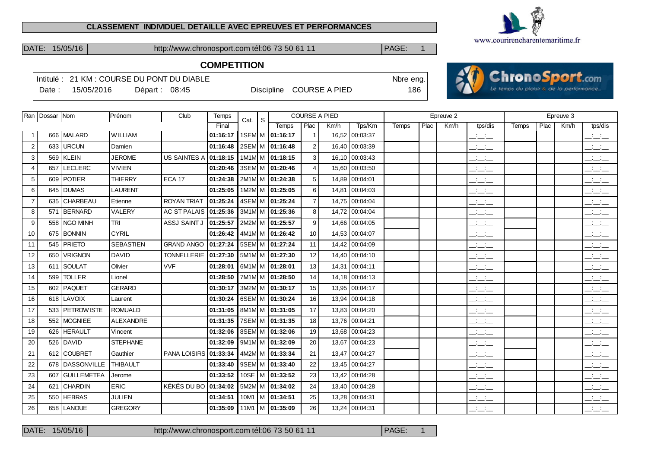#### **CLASSEMENT INDIVIDUEL DETAILLE AVEC EPREUVES ET PERFORMANCES**



**Chronos** port.com

DATE: 15/05/16 http://www.chronosport.com tél:06 73 50 61 11 PAGE: 1

# **COMPETITION**

|       | Intitulé: 21 KM : COURSE DU PONT DU DIABLE |               |  |                          | Nbre eng. |  |
|-------|--------------------------------------------|---------------|--|--------------------------|-----------|--|
| Date: | 15/05/2016                                 | Départ: 08:45 |  | Discipline COURSE A PIED | 186       |  |
|       |                                            |               |  |                          |           |  |

|                | Ran   Dossar   Nom |                 | Prénom           | Club                | Temps    | S<br>Cat.             |                     |                | <b>COURSE A PIED</b> |                |              |      | Epreuve 2 |                                   |       |      | Epreuve 3 |                                           |
|----------------|--------------------|-----------------|------------------|---------------------|----------|-----------------------|---------------------|----------------|----------------------|----------------|--------------|------|-----------|-----------------------------------|-------|------|-----------|-------------------------------------------|
|                |                    |                 |                  |                     | Final    |                       | Temps               | Plac           | Km/h                 | Tps/Km         | <b>Temps</b> | Plac | Km/h      | tps/dis                           | Temps | Plac | Km/h      | tps/dis                                   |
|                |                    | 666   MALARD    | WILLIAM          |                     | 01:16:17 |                       | 1SEM M 01:16:17     | $\overline{1}$ |                      | 16,52 00:03:37 |              |      |           | $\overline{\phantom{a}}$          |       |      |           | $\overline{\phantom{a}}$                  |
| 2              |                    | 633 URCUN       | Damien           |                     | 01:16:48 |                       | 2SEM M 01:16:48     | 2              |                      | 16,40 00:03:39 |              |      |           | $\mathbb{Z}$ and $\mathbb{Z}$     |       |      |           | $\mathbb{R}$ and $\mathbb{R}$             |
| 3              |                    | 569 KLEIN       | <b>JEROME</b>    | <b>US SAINTES A</b> | 01:18:15 |                       | 1M1M M 01:18:15     | 3              |                      | 16,10 00:03:43 |              |      |           | <b>Contract Contract</b><br>$  -$ |       |      |           | <b>Contract</b><br>$  -$                  |
| 4              | 657                | <b>LECLERC</b>  | <b>VIVIEN</b>    |                     | 01:20:46 |                       | 3SEM M 01:20:46     | $\overline{4}$ | 15.60                | 00:03:50       |              |      |           | $ -$                              |       |      |           | $\frac{1}{2}$ $\frac{1}{2}$ $\frac{1}{2}$ |
| 5              | 609                | <i>FOTIER</i>   | <b>THIERRY</b>   | <b>ECA 17</b>       | 01:24:38 |                       | 2M1M M 01:24:38     | 5              | 14,89                | 00:04:01       |              |      |           | للأساس                            |       |      |           | $\overline{\phantom{a}}$                  |
| 6              |                    | 645 DUMAS       | <b>LAURENT</b>   |                     | 01:25:05 |                       | 1M2M M 01:25:05     | 6              |                      | 14,81 00:04:03 |              |      |           | $\mathbb{Z}$ and $\mathbb{Z}$     |       |      |           | $\overline{\phantom{a}}$                  |
| $\overline{7}$ |                    | 635 CHARBEAU    | Etienne          | <b>ROYAN TRIAT</b>  | 01:25:24 | 4SEM M 01:25:24       |                     | $\overline{7}$ | 14.75                | 00:04:04       |              |      |           | $\overline{\phantom{a}}$          |       |      |           | $\frac{1}{2}$                             |
| 8              | 571                | BERNARD         | <b>VALERY</b>    | AC ST PALAIS        | 01:25:36 | 3M1M M 01:25:36       |                     | 8              |                      | 14.72 00:04:04 |              |      |           | $ -$                              |       |      |           | $\frac{1}{2}$ and $\frac{1}{2}$           |
| 9              |                    | 558 NGO MINH    | <b>TRI</b>       | ASSJ SAINT J        | 01:25:57 | 2M2M M 01:25:57       |                     | 9              |                      | 14.66 00:04:05 |              |      |           | $\frac{1}{2}$ and $\frac{1}{2}$   |       |      |           | $\frac{1}{2}$ and $\frac{1}{2}$           |
| 10             |                    | 675 BONNIN      | <b>CYRIL</b>     |                     | 01:26:42 | 4M1M M 01:26:42       |                     | 10             |                      | 14.53 00:04:07 |              |      |           | $\mathbb{Z}$ and $\mathbb{Z}$     |       |      |           | $\overline{\phantom{a}}$                  |
| 11             |                    | 545 PRIETO      | <b>SEBASTIEN</b> | <b>GRAND ANGO</b>   | 01:27:24 | 5SEM M 01:27:24       |                     | 11             |                      | 14,42 00:04:09 |              |      |           | $ -$                              |       |      |           | $  -$                                     |
| 12             |                    | 650   VRIGNON   | <b>DAVID</b>     | <b>TONNELLERIE</b>  | 01:27:30 |                       | $5M1M/M$ 01:27:30   | 12             |                      | 14,40 00:04:10 |              |      |           | $  -$                             |       |      |           | $\overline{\phantom{a}}$                  |
| 13             |                    | 611 SOULAT      | Olivier          | <b>VVF</b>          | 01:28:01 | 6M1M M 01:28:01       |                     | 13             |                      | 14,31 00:04:11 |              |      |           | $ -$                              |       |      |           | $\overline{\phantom{a}}$                  |
| 14             | 599                | TOLLER          | Lionel           |                     | 01:28:50 | 7M1M M   01:28:50     |                     | 14             |                      | 14,18 00:04:13 |              |      |           | $ -$                              |       |      |           | $\frac{1}{2}$ $\frac{1}{2}$ $\frac{1}{2}$ |
| 15             |                    | 602   PAQUET    | <b>GERARD</b>    |                     | 01:30:17 | 3M2M M 01:30:17       |                     | 15             |                      | 13,95 00:04:17 |              |      |           | <b>Contract Contract</b><br>$  -$ |       |      |           | $\overline{\phantom{a}}$                  |
| 16             |                    | 618 LAVOIX      | Laurent          |                     | 01:30:24 | 6SEM M 01:30:24       |                     | 16             | 13,94                | 00:04:18       |              |      |           | $\overline{\phantom{a}}$          |       |      |           | $\overline{\phantom{a}}$                  |
| 17             |                    | 533 PETROWISTE  | <b>ROMUALD</b>   |                     | 01:31:05 | 8M1M M 01:31:05       |                     | 17             |                      | 13,83 00:04:20 |              |      |           | $  -$                             |       |      |           | $\mathbb{R}$ and $\mathbb{R}$             |
| 18             |                    | 552 MOGNIEE     | <b>ALEXANDRE</b> |                     | 01:31:35 | 7SEM M 01:31:35       |                     | 18             |                      | 13,76 00:04:21 |              |      |           | $  -$                             |       |      |           | $\overline{\phantom{a}}$                  |
| 19             |                    | 626 HERAULT     | Vincent          |                     | 01:32:06 | 8SEM M 01:32:06       |                     | 19             |                      | 13,68 00:04:23 |              |      |           | $\mathbb{Z}$ and $\mathbb{Z}$     |       |      |           | $\overline{\phantom{a}}$                  |
| 20             |                    | 526 DAVID       | <b>STEPHANE</b>  |                     | 01:32:09 | 9M1M M 01:32:09       |                     | 20             |                      | 13,67 00:04:23 |              |      |           | $\mathbb{Z}$ and $\mathbb{Z}$     |       |      |           | $\overline{\phantom{a}}$                  |
| 21             |                    | 612 COUBRET     | Gauthier         | PANA LOISIRS        | 01:33:34 | 4M2M M 01:33:34       |                     | 21             |                      | 13,47 00:04:27 |              |      |           | $  -$                             |       |      |           | $\frac{1}{2}$ and $\frac{1}{2}$           |
| 22             |                    | 678 DASSONVILLE | <b>THIBAULT</b>  |                     | 01:33:40 |                       | 9SEM M 01:33:40     | 22             |                      | 13,45 00:04:27 |              |      |           | $\overline{\phantom{a}}$          |       |      |           | $\mathbb{R}$ and $\mathbb{R}$             |
| 23             | 607                | GUILLEMETEA     | Jerome           |                     | 01:33:52 |                       | 10SE   M   01:33:52 | 23             |                      | 13,42 00:04:28 |              |      |           | $  -$                             |       |      |           | $\mathbb{R}$ and $\mathbb{R}$             |
| 24             | 621                | CHARDIN         | <b>ERIC</b>      | KÉKÉS DU BO         | 01:34:02 | 5M2M M 01:34:02       |                     | 24             |                      | 13,40 00:04:28 |              |      |           | $ -$                              |       |      |           | $\overline{\phantom{a}}$                  |
| 25             |                    | 550 HEBRAS      | <b>JULIEN</b>    |                     | 01:34:51 | $10M1$   M   01:34:51 |                     | 25             |                      | 13,28 00:04:31 |              |      |           | سأستأثث                           |       |      |           | $ -$                                      |
| 26             |                    | 658   LANOUE    | <b>GREGORY</b>   |                     | 01:35:09 | $11M1$   M   01:35:09 |                     | 26             |                      | 13,24 00:04:31 |              |      |           | $\overline{\phantom{a}}$          |       |      |           | $ -$                                      |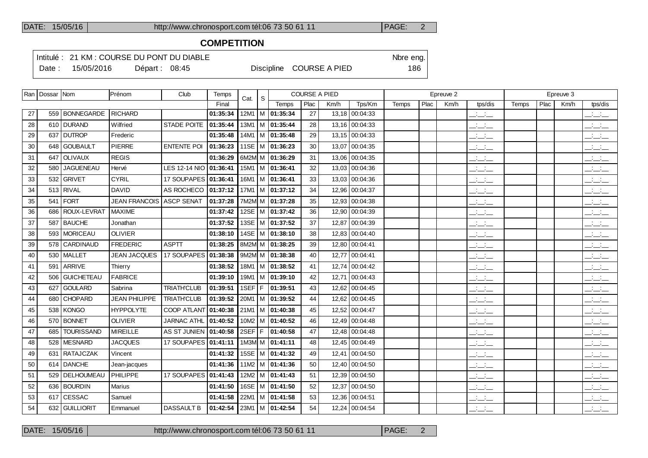### **COMPETITION**

Intitulé : 21 KM : COURSE DU PONT DU DIABLE Note that the state of the SN of the eng.

Date : 15/05/2016 Départ : 08:45 Discipline COURSE A PIED 186

|    | Ran   Dossar   Nom |                   | Prénom                   | Club                  | Temps    | Cat. | S |                                |      | <b>COURSE A PIED</b> |                |       |      | Epreuve 2 |                                      |       |      | Epreuve 3 |                                                   |
|----|--------------------|-------------------|--------------------------|-----------------------|----------|------|---|--------------------------------|------|----------------------|----------------|-------|------|-----------|--------------------------------------|-------|------|-----------|---------------------------------------------------|
|    |                    |                   |                          |                       | Final    |      |   | Temps                          | Plac | Km/h                 | Tps/Km         | Temps | Plac | Km/h      | tps/dis                              | Temps | Plac | Km/h      | tps/dis                                           |
| 27 |                    | 559 BONNEGARDE    | <b>RICHARD</b>           |                       | 01:35:34 |      |   | 12M1   M   01:35:34            | 27   |                      | 13,18 00:04:33 |       |      |           | سأساب                                |       |      |           | $\frac{1}{2}$ $\frac{1}{2}$ $\frac{1}{2}$         |
| 28 |                    | 610 DURAND        | Wilfried                 | <b>STADE POITE</b>    | 01:35:44 |      |   | 13M1   M   01:35:44            | 28   |                      | 13,16 00:04:33 |       |      |           | $  -$                                |       |      |           | $\frac{1}{2}$ $\frac{1}{2}$ $\frac{1}{2}$         |
| 29 |                    | 637 DUTROP        | Frederic                 |                       | 01:35:48 |      |   | $14M1$ M 01:35:48              | 29   |                      | 13,15 00:04:33 |       |      |           | $ -$                                 |       |      |           | ---                                               |
| 30 |                    | 648 GOUBAULT      | <b>PIERRE</b>            | <b>ENTENTE POI</b>    | 01:36:23 |      |   | 11SE   M   01:36:23            | 30   |                      | 13,07 00:04:35 |       |      |           | للأساس                               |       |      |           | $\overline{\phantom{a}}$ $\overline{\phantom{a}}$ |
| 31 |                    | 647 OLIVAUX       | <b>REGIS</b>             |                       | 01:36:29 |      |   | 6M2M M 01:36:29                | 31   |                      | 13,06 00:04:35 |       |      |           | <b>Contract Contract</b><br>$ -$     |       |      |           | $  -$                                             |
| 32 | 580                | JAGUENEAU         | Hervé                    | <b>LES 12-14 NIO</b>  | 01:36:41 |      |   | 15M1   M   01:36:41            | 32   |                      | 13,03 00:04:36 |       |      |           | <b>Contract Contract</b><br>$  -$    |       |      |           | <b>Contract Contract</b><br>$  -$                 |
| 33 |                    | 532 GRIVET        | <b>CYRIL</b>             | 17 SOUPAPES 01:36:41  |          |      |   | 16M1   M   01:36:41            | 33   |                      | 13,03 00:04:36 |       |      |           | $  -$                                |       |      |           | بالبائب                                           |
| 34 | 513                | <b>RIVAL</b>      | <b>DAVID</b>             | AS ROCHECO            | 01:37:12 |      |   | $17M1$ M $ 01:37:12$           | 34   |                      | 12,96 00:04:37 |       |      |           | $\frac{1}{2}$ and $\frac{1}{2}$      |       |      |           | للأسائب                                           |
| 35 |                    | $541$ FORT        | JEAN FRANCOIS ASCP SENAT |                       | 01:37:28 |      |   | 7M2M M 01:37:28                | 35   |                      | 12,93 00:04:38 |       |      |           | $\overline{a}$                       |       |      |           | للأستاني                                          |
| 36 | 686                | ROUX-LEVRAT       | <b>MAXIME</b>            |                       | 01:37:42 |      |   | 12SE   M   01:37:42            | 36   |                      | 12,90 00:04:39 |       |      |           | $\frac{1}{2}$ and $\frac{1}{2}$      |       |      |           | $\equiv$ $\equiv$ $\equiv$                        |
| 37 |                    | 587 BAUCHE        | Jonathan                 |                       | 01:37:52 |      |   | 13SE   M   01:37:52            | 37   |                      | 12,87 00:04:39 |       |      |           | $\overline{\phantom{a}}$             |       |      |           | بالسنب                                            |
| 38 |                    | 593 MORICEAU      | <b>OLIVIER</b>           |                       | 01:38:10 |      |   | 14SE   M   01:38:10            | 38   |                      | 12,83 00:04:40 |       |      |           | $\mathbb{Z}$ and $\mathbb{Z}$        |       |      |           | $\overline{\phantom{a}}$                          |
| 39 |                    | 578 CARDINAUD     | <b>FREDERIC</b>          | <b>ASPTT</b>          | 01:38:25 |      |   | 8M2M M 01:38:25                | 39   |                      | 12,80 00:04:41 |       |      |           | $  -$                                |       |      |           | بانبات                                            |
| 40 |                    | 530   MALLET      | <b>JEAN JACQUES</b>      | 17 SOUPAPES           | 01:38:38 |      |   | 9M2M M 01:38:38                | 40   |                      | 12,77 00:04:41 |       |      |           | $\frac{1}{2}$ and $\frac{1}{2}$      |       |      |           | $\mathbb{Z}$ and $\mathbb{Z}$                     |
| 41 |                    | 591 ARRIVE        | Thierry                  |                       | 01:38:52 |      |   | 18M1   M   01:38:52            | 41   |                      | 12,74 00:04:42 |       |      |           | $\overline{\phantom{a}}$             |       |      |           | $\frac{1}{2}$                                     |
| 42 | 506                | <b>GUICHETEAU</b> | <b>FABRICE</b>           |                       | 01:39:10 |      |   | 19M1   M   01:39:10            | 42   |                      | 12,71 00:04:43 |       |      |           | $\overline{\phantom{a}}$             |       |      |           | $\overline{\phantom{a}}$                          |
| 43 |                    | 627 GOULARD       | Sabrina                  | <b>TRIATH'CLUB</b>    | 01:39:51 |      |   | 1SEF   F   01:39:51            | 43   |                      | 12,62 00:04:45 |       |      |           | $\mathcal{L} = \{1,2,3,4\}$<br>$  -$ |       |      |           | $\overline{\phantom{a}}$                          |
| 44 |                    | 680 CHOPARD       | <b>JEAN PHILIPPE</b>     | <b>TRIATH'CLUB</b>    | 01:39:52 |      |   | 20M1   M   01:39:52            | 44   |                      | 12,62 00:04:45 |       |      |           | $\frac{1}{2}$                        |       |      |           | $\overline{\phantom{a}}$                          |
| 45 |                    | 538 KONGO         | <b>HYPPOLYTE</b>         | COOP ATLANT 01:40:38  |          |      |   | $21M1$ M $\overline{01:40:38}$ | 45   |                      | 12,52 00:04:47 |       |      |           | $\frac{1}{2}$ and $\frac{1}{2}$      |       |      |           | $\overline{\phantom{a}}$                          |
| 46 |                    | 570 BONNET        | <b>OLIVIER</b>           | <b>JARNAC ATHL</b>    | 01:40:52 |      |   | $10M2$ M $ 01:40:52$           | 46   |                      | 12,49 00:04:48 |       |      |           | للأساس                               |       |      |           | بالبياني                                          |
| 47 | 685                | <b>TOURISSAND</b> | <b>MIREILLE</b>          | AS ST JUNIEN 01:40:58 |          |      |   | 2SEFIF 01:40:58                | 47   |                      | 12,48 00:04:48 |       |      |           | $  -$                                |       |      |           | بانيات                                            |
| 48 |                    | 528 MESNARD       | <b>JACQUES</b>           | 17 SOUPAPES 01:41:11  |          |      |   | 1M3M M $ 01:41:11$             | 48   |                      | 12,45 00:04:49 |       |      |           | $\frac{1}{2}$ and $\frac{1}{2}$      |       |      |           | $\overline{\phantom{a}}$                          |
| 49 |                    | 631 RATAJCZAK     | Vincent                  |                       | 01:41:32 |      |   | 15SE M 01:41:32                | 49   |                      | 12,41 00:04:50 |       |      |           | $\frac{1}{2}$ and $\frac{1}{2}$      |       |      |           | $\overline{\phantom{a}}$                          |
| 50 |                    | 614 DANCHE        | Jean-jacques             |                       | 01:41:36 |      |   | $11M2$ M $ 01:41:36$           | 50   |                      | 12,40 00:04:50 |       |      |           | $  -$                                |       |      |           | $\overline{\phantom{a}}$ $\overline{\phantom{a}}$ |
| 51 |                    | 529   DELHOUMEAU  | <b>PHILIPPE</b>          | <b>17 SOUPAPES</b>    | 01:41:43 |      |   | $12M2$ M $101:41:43$           | 51   |                      | 12,39 00:04:50 |       |      |           | $\frac{1}{2}$ and $\frac{1}{2}$      |       |      |           | $\sim 10^{-10}$ km $^{-1}$<br>$  -$               |
| 52 |                    | 636   BOURDIN     | Marius                   |                       | 01:41:50 |      |   | 16SE   M   01:41:50            | 52   |                      | 12,37 00:04:50 |       |      |           | $ -$                                 |       |      |           | $ -$                                              |
| 53 |                    | 617 CESSAC        | Samuel                   |                       | 01:41:58 |      |   | $22M1$   M   01:41:58          | 53   |                      | 12,36 00:04:51 |       |      |           | $ -$                                 |       |      |           | $  -$                                             |
| 54 |                    | 632 GUILLIORIT    | Emmanuel                 | DASSAULT B            | 01:42:54 |      |   | 23M1 M 01:42:54                | 54   |                      | 12,24 00:04:54 |       |      |           | <b>Contract</b><br>$  -$             |       |      |           | <b>Contract Contract</b><br>$  -$                 |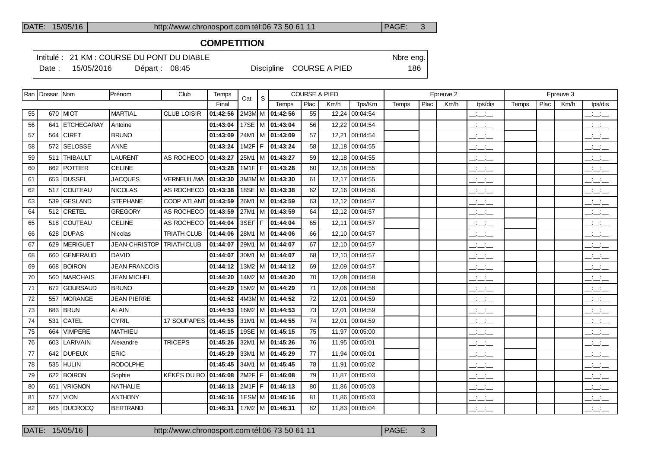## **COMPETITION**

Intitulé : 21 KM : COURSE DU PONT DU DIABLE Note that the state of the SN of the eng.

|  | Date: 15/05/2016 | Départ: $08:45$ |  |  | Discipline COURSE A PIED | 186 |
|--|------------------|-----------------|--|--|--------------------------|-----|
|--|------------------|-----------------|--|--|--------------------------|-----|

|    | Ran   Dossar   Nom |                | <b>IPrénom</b>       | Club                  | Temps    | Cat.     | S. |                                | <b>COURSE A PIED</b> |      |                |              |      | Epreuve 2 |                                   |       |      | Epreuve 3 |                                 |
|----|--------------------|----------------|----------------------|-----------------------|----------|----------|----|--------------------------------|----------------------|------|----------------|--------------|------|-----------|-----------------------------------|-------|------|-----------|---------------------------------|
|    |                    |                |                      |                       | Final    |          |    | Temps                          | Plac                 | Km/h | Tps/Km         | <b>Temps</b> | Plac | Km/h      | tps/dis                           | Temps | Plac | Km/h      | tps/dis                         |
| 55 |                    | 670 MIOT       | <b>MARTIAL</b>       | <b>CLUB LOISIR</b>    | 01:42:56 |          |    | 2M3M M 01:42:56                | 55                   |      | 12,24 00:04:54 |              |      |           | $\frac{1}{2}$                     |       |      |           | $\frac{1}{2}$                   |
| 56 |                    | 641 ETCHEGARAY | Antoine              |                       | 01:43:04 |          |    | 17SE   M   01:43:04            | 56                   |      | 12,22 00:04:54 |              |      |           | $\frac{1}{2}$ and $\frac{1}{2}$   |       |      |           | $ -$                            |
| 57 |                    | 564 CIRET      | <b>BRUNO</b>         |                       | 01:43:09 |          |    | 24M1 M 01:43:09                | 57                   |      | 12.21 00:04:54 |              |      |           | $  -$                             |       |      |           | $\overline{\phantom{a}}$        |
| 58 |                    | 572 SELOSSE    | <b>ANNE</b>          |                       | 01:43:24 |          |    | $1M2F$ $F$ $101:43:24$         | 58                   |      | 12,18 00:04:55 |              |      |           | $ -$                              |       |      |           | $ -$                            |
| 59 |                    | 511 THIBAULT   | <b>LAURENT</b>       | AS ROCHECO            | 01:43:27 |          |    | 25M1   M   01:43:27            | 59                   |      | 12,18 00:04:55 |              |      |           | $ -$                              |       |      |           | $ -$                            |
| 60 |                    | 662 POTTIER    | <b>CELINE</b>        |                       | 01:43:28 |          |    | 1M1F   F   01:43:28            | 60                   |      | 12,18 00:04:55 |              |      |           | $\overline{\phantom{a}}$          |       |      |           | $ -$                            |
| 61 |                    | 653 DUSSEL     | <b>JACQUES</b>       | <b>VERNEUIL/MA</b>    | 01:43:30 |          |    | $3M3M/M$ 01:43:30              | 61                   |      | 12,17 00:04:55 |              |      |           | $\overline{\phantom{a}}$          |       |      |           | $\overline{\phantom{a}}$        |
| 62 |                    | 517 COUTEAU    | <b>NICOLAS</b>       | AS ROCHECO   01:43:38 |          |          |    | 18SE   M   01:43:38            | 62                   |      | 12,16 00:04:56 |              |      |           | $\overline{\phantom{a}}$          |       |      |           | $\overline{\phantom{a}}$        |
| 63 |                    | 539 GESLAND    | <b>STEPHANE</b>      | COOP ATLANT 01:43:59  |          |          |    | 26M1 M 01:43:59                | 63                   |      | 12,12 00:04:57 |              |      |           | $\overline{\phantom{a}}$          |       |      |           | $\overline{\phantom{a}}$        |
| 64 |                    | 512 CRETEL     | <b>GREGORY</b>       | AS ROCHECO            | 01:43:59 |          |    | 27M1   M   01:43:59            | 64                   |      | 12,12 00:04:57 |              |      |           | <b>Contract</b><br>$  -$          |       |      |           | للأسائل                         |
| 65 |                    | 518 COUTEAU    | <b>CELINE</b>        | AS ROCHECO            | 01:44:04 |          |    | 3SEF F 01:44:04                | 65                   |      | 12,11 00:04:57 |              |      |           | $ -$                              |       |      |           | $\overline{\phantom{a}}$        |
| 66 |                    | 628 DUPAS      | <b>Nicolas</b>       | TRIATH CLUB           | 01:44:06 |          |    | 28M1 M 01:44:06                | 66                   |      | 12.10 00:04:57 |              |      |           | <b>Contract Contract</b><br>$  -$ |       |      |           | $\overline{\phantom{a}}$        |
| 67 |                    | 629 MERIGUET   | JEAN-CHRISTOP        | <b>TRIATH'CLUB</b>    | 01:44:07 | 29M1     |    | M 01:44:07                     | 67                   |      | 12,10 00:04:57 |              |      |           | $\frac{1}{2}$ and $\frac{1}{2}$   |       |      |           | $ -$                            |
| 68 |                    | 660 GENERAUD   | <b>DAVID</b>         |                       | 01:44:07 |          |    | $30M1$ M $\overline{01:44:07}$ | 68                   |      | 12.10 00:04:57 |              |      |           | $\frac{1}{2}$ and $\frac{1}{2}$   |       |      |           | $\frac{1}{2}$ and $\frac{1}{2}$ |
| 69 |                    | 668 BOIRON     | <b>JEAN FRANCOIS</b> |                       | 01:44:12 |          |    | 13M2   M   01:44:12            | 69                   |      | 12,09 00:04:57 |              |      |           | $\frac{1}{2}$ and $\frac{1}{2}$   |       |      |           | للأسائل                         |
| 70 |                    | 560   MARCHAIS | <b>JEAN MICHEL</b>   |                       | 01:44:20 |          |    | 14M2   M   01:44:20            | 70                   |      | 12.08 00:04:58 |              |      |           | $\mathbb{Z}$ and $\mathbb{Z}$     |       |      |           | $\overline{\phantom{a}}$        |
| 71 |                    | 672 GOURSAUD   | <b>BRUNO</b>         |                       | 01:44:29 |          |    | 15M2   M   01:44:29            | 71                   |      | 12,06 00:04:58 |              |      |           | $\overline{\phantom{a}}$          |       |      |           | $\overline{\phantom{a}}$        |
| 72 |                    | 557   MORANGE  | <b>JEAN PIERRE</b>   |                       | 01:44:52 |          |    | 4M3M M 01:44:52                | 72                   |      | 12,01 00:04:59 |              |      |           | <b>Service</b><br>$  -$           |       |      |           | للأسائل                         |
| 73 |                    | 683 BRUN       | <b>ALAIN</b>         |                       | 01:44:53 |          |    | 16M2   M   01:44:53            | 73                   |      | 12,01 00:04:59 |              |      |           | $\overline{\phantom{a}}$          |       |      |           | للأسائل                         |
| 74 |                    | 531 CATEL      | <b>CYRIL</b>         | 17 SOUPAPES 01:44:55  |          |          |    | 31M1 M 01:44:55                | 74                   |      | 12,01 00:04:59 |              |      |           | $ -$                              |       |      |           | للأسائل                         |
| 75 | 664                | <b>VIMPERE</b> | <b>MATHIEU</b>       |                       | 01:45:15 |          |    | 19SE M 01:45:15                | 75                   |      | 11.97 00:05:00 |              |      |           | $\overline{\phantom{a}}$          |       |      |           | $\overline{\phantom{a}}$        |
| 76 |                    | 603 LARIVAIN   | Alexandre            | <b>TRICEPS</b>        | 01:45:26 |          |    | 32M1   M   01:45:26            | 76                   |      | 11,95 00:05:01 |              |      |           | <b>Service</b><br>$  -$           |       |      |           | $\overline{\phantom{a}}$        |
| 77 |                    | 642 DUPEUX     | <b>ERIC</b>          |                       | 01:45:29 |          |    | 33M1 M 01:45:29                | 77                   |      | 11,94 00:05:01 |              |      |           | $  -$                             |       |      |           | $\overline{\phantom{a}}$        |
| 78 |                    | $535$ HULIN    | <b>RODOLPHE</b>      |                       | 01:45:45 |          |    | 34M1 M 01:45:45                | 78                   |      | 11,91 00:05:02 |              |      |           | $  -$                             |       |      |           | للأسائل                         |
| 79 | 622                | <b>BOIRON</b>  | Sophie               | KÉKÉS DU BO 01:46:08  |          | 2M2F     |    | F 101:46:08                    | 79                   |      | 11,87 00:05:03 |              |      |           | $ -$                              |       |      |           | $ -$                            |
| 80 | 651                | <b>VRIGNON</b> | <b>NATHALIE</b>      |                       | 01:46:13 | $2M1F$ F |    | 01:46:13                       | 80                   |      | 11,86 00:05:03 |              |      |           | $\frac{1}{2}$ and $\frac{1}{2}$   |       |      |           | $-1$                            |
| 81 |                    | 577 VION       | <b>ANTHONY</b>       |                       | 01:46:16 |          |    | 1ESM M 01:46:16                | 81                   |      | 11,86 00:05:03 |              |      |           | سأسأب                             |       |      |           | $\overline{\phantom{a}}$        |
| 82 |                    | 665 DUCROCQ    | <b>BERTRAND</b>      |                       | 01:46:31 |          |    | $17M2$ M $ 01:46:31$           | 82                   |      | 11,83 00:05:04 |              |      |           | $  -$                             |       |      |           | $\mathbb{R}$ and $\mathbb{R}$   |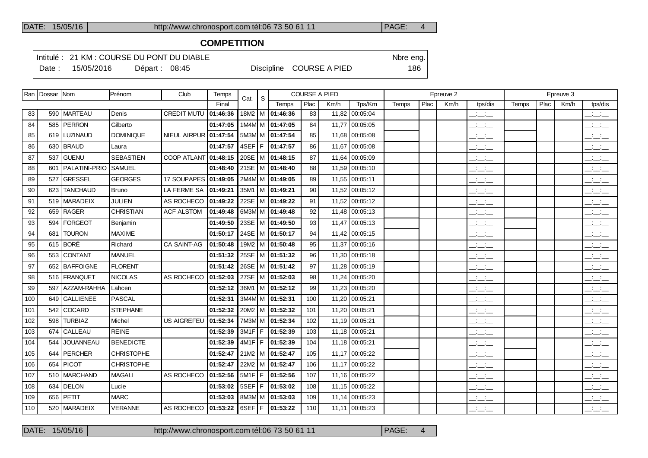#### **COMPETITION**

Intitulé : 21 KM : COURSE DU PONT DU DIABLE Nbre eng.

|     | Ran   Dossar   Nom |                     | Prénom           | Club                                         | Temps    | Cat.   | S |                     | <b>COURSE A PIED</b> |      |                |       |      | Epreuve 2 |                                                   |       |      | Epreuve 3 |                                                                    |
|-----|--------------------|---------------------|------------------|----------------------------------------------|----------|--------|---|---------------------|----------------------|------|----------------|-------|------|-----------|---------------------------------------------------|-------|------|-----------|--------------------------------------------------------------------|
|     |                    |                     |                  |                                              | Final    |        |   | Temps               | Plac                 | Km/h | Tps/Km         | Temps | Plac | Km/h      | tps/dis                                           | Temps | Plac | Km/h      | tps/dis                                                            |
| 83  |                    | 590   MARTEAU       | Denis            | CREDIT MUTU   01:46:36                       |          |        |   | 18M2   M   01:46:36 | 83                   |      | 11,82 00:05:04 |       |      |           | <b>Contract Contract</b><br>$  -$                 |       |      |           | <b>All Cards</b><br>$  -$                                          |
| 84  |                    | 585 PERRON          | Gilberto         |                                              | 01:47:05 |        |   | 1M4M M 01:47:05     | 84                   |      | 11,77 00:05:05 |       |      |           | <b>Contract Contract</b><br>$  -$                 |       |      |           | <b>All Cards</b><br>$  -$                                          |
| 85  |                    | 619   LUZINAUD      | <b>DOMINIQUE</b> | NIEUL AIRPUR 01:47:54                        |          |        |   | 5M3M M 01:47:54     | 85                   |      | 11,68 00:05:08 |       |      |           | $\frac{1}{2}$ and $\frac{1}{2}$                   |       |      |           | $  -$                                                              |
| 86  |                    | 630 BRAUD           | Laura            |                                              | 01:47:57 | 4SEF F |   | 01:47:57            | 86                   |      | 11,67 00:05:08 |       |      |           | $ -$                                              |       |      |           | $\mathcal{L}^{\text{max}}$ and $\mathcal{L}^{\text{max}}$<br>$  -$ |
| 87  |                    | 537 GUENU           | <b>SEBASTIEN</b> | <b>COOP ATLANT</b>                           | 01:48:15 |        |   | 20SE   M   01:48:15 | 87                   |      | 11,64 00:05:09 |       |      |           | $\frac{1}{2}$ and $\frac{1}{2}$                   |       |      |           | $\overline{\phantom{a}}$                                           |
| 88  |                    | 601   PALATINI-PRIO | <b>SAMUEL</b>    |                                              | 01:48:40 |        |   | 21SE   M   01:48:40 | 88                   |      | 11,59 00:05:10 |       |      |           | $ -$                                              |       |      |           | $\mathbf{a}$ , and $\mathbf{a}$<br>$  -$                           |
| 89  |                    | 527 GRESSEL         | <b>GEORGES</b>   | 17 SOUPAPES 01:49:05                         |          |        |   | 2M4M M 01:49:05     | 89                   |      | 11,55 00:05:11 |       |      |           | $  -$                                             |       |      |           | $ -$                                                               |
| 90  |                    | 623 TANCHAUD        | <b>Bruno</b>     | LA FERME SA   01:49:21                       |          |        |   | 35M1   M   01:49:21 | 90                   |      | 11,52 00:05:12 |       |      |           | <b>Contract Contract</b><br>$  -$                 |       |      |           | <b>Service</b><br>$  -$                                            |
| 91  |                    | 519   MARADEIX      | <b>JULIEN</b>    | AS ROCHECO 01:49:22                          |          |        |   | 22SE M 01:49:22     | 91                   |      | 11,52 00:05:12 |       |      |           | $\frac{1}{2}$ and $\frac{1}{2}$                   |       |      |           | $  -$                                                              |
| 92  |                    | 659 RAGER           | <b>CHRISTIAN</b> | <b>ACF ALSTOM</b>                            | 01:49:48 |        |   | 6M3M M 01:49:48     | 92                   |      | 11,48 00:05:13 |       |      |           | $\overline{\phantom{a}}$ $\overline{\phantom{a}}$ |       |      |           | $  -$                                                              |
| 93  |                    | 594   FORGEOT       | Benjamin         |                                              | 01:49:50 |        |   | 23SE   M   01:49:50 | 93                   |      | 11,47 00:05:13 |       |      |           | $ -$                                              |       |      |           | $ -$                                                               |
| 94  |                    | 681   TOURON        | <b>MAXIME</b>    |                                              | 01:50:17 |        |   | 24SE   M   01:50:17 | 94                   |      | 11,42 00:05:15 |       |      |           | <b>Contract Contract</b><br>$  -$                 |       |      |           | <b>Service</b><br>---                                              |
| 95  |                    | 615 BORÉ            | Richard          | <b>CA SAINT-AG</b>                           | 01:50:48 |        |   | 19M2 M 01:50:48     | 95                   |      | 11,37 00:05:16 |       |      |           | <b>Contract Contract</b><br>$  -$                 |       |      |           | <b>Contract Contract</b><br>$  -$                                  |
| 96  |                    | 553 CONTANT         | <b>MANUEL</b>    |                                              | 01:51:32 |        |   | 25SE   M   01:51:32 | 96                   |      | 11,30 00:05:18 |       |      |           | <b>Contract Contract</b><br>$  -$                 |       |      |           | $\mathbf{a}$ , and $\mathbf{a}$<br>$  -$                           |
| 97  |                    | 652 BAFFOIGNE       | <b>FLORENT</b>   |                                              | 01:51:42 |        |   | 26SE   M   01:51:42 | 97                   |      | 11,28 00:05:19 |       |      |           | $\frac{1}{2}$ and $\frac{1}{2}$                   |       |      |           | $\overline{\phantom{a}}$                                           |
| 98  |                    | 516   FRANQUET      | <b>NICOLAS</b>   | AS ROCHECO                                   | 01:52:03 |        |   | 27SE   M   01:52:03 | 98                   |      | 11,24 00:05:20 |       |      |           | $  -$                                             |       |      |           | <b>All Cards</b><br>$  -$                                          |
| 99  |                    | 597   AZZAM-RAHHA   | Lahcen           |                                              | 01:52:12 |        |   | 36M1   M   01:52:12 | 99                   |      | 11,23 00:05:20 |       |      |           | <b>Contract Contract</b><br>$  -$                 |       |      |           | <b>Service</b><br>$  -$                                            |
| 100 |                    | 649 GALLIENEE       | <b>PASCAL</b>    |                                              | 01:52:31 |        |   | 3M4M M 01:52:31     | 100                  |      | 11,20 00:05:21 |       |      |           | $\sim 10^{-10}$ m $^{-1}$<br>$  -$                |       |      |           | <b>Service</b><br>---                                              |
| 101 |                    | 542 COCARD          | <b>STEPHANE</b>  |                                              | 01:52:32 |        |   | 20M2   M   01:52:32 | 101                  |      | 11,20 00:05:21 |       |      |           | $  -$                                             |       |      |           | $\overline{\phantom{a}}$                                           |
| 102 |                    | 598   TURBIAZ       | Michel           | US AIGREFEU   01:52:34   7M3M   M   01:52:34 |          |        |   |                     | 102                  |      | 11,19 00:05:21 |       |      |           | $  -$                                             |       |      |           | $  -$                                                              |

103│ 674│CALLEAU │REINE │ │ │ │01:**52:39│**3M1F│F│01:52:39│ 103│ 11,18│00:05:21 │ │ │ │\_\_:\_\_:\_ │ │ │ │ │\_\_:\_\_:\_\_ 544 JOUANNEAU BENEDICTE **01:52:39** 4M1F F **01:52:39** 104 11,18 00:05:21 \_\_:\_\_:\_\_ \_\_:\_\_:\_\_ 644 PERCHER CHRISTOPHE **01:52:47** 21M2 M **01:52:47** 105 11,17 00:05:22 \_\_:\_\_:\_\_ \_\_:\_\_:\_\_ 654 PICOT CHRISTOPHE **01:52:47** 22M2 M **01:52:47** 106 11,17 00:05:22 \_\_:\_\_:\_\_ \_\_:\_\_:\_\_ 510 MARCHAND MAGALI AS ROCHECO **01:52:56** 5M1F F **01:52:56** 107 11,16 00:05:22 \_\_:\_\_:\_\_ \_\_:\_\_:\_\_ 634 DELON Lucie **01:53:02** 5SEF F **01:53:02** 108 11,15 00:05:22 \_\_:\_\_:\_\_ \_\_:\_\_:\_\_ 109 656 PETIT |MARC | |**01:53:03** |8M3M| M |**01:53:03** | 109 | 11,14 |00:05:23 | | |\_:\_:\_ | |\_:\_:\_ 520 MARADEIX VERANNE AS ROCHECO **01:53:22** 6SEF F **01:53:22** 110 11,11 00:05:23 \_\_:\_\_:\_\_ \_\_:\_\_:\_\_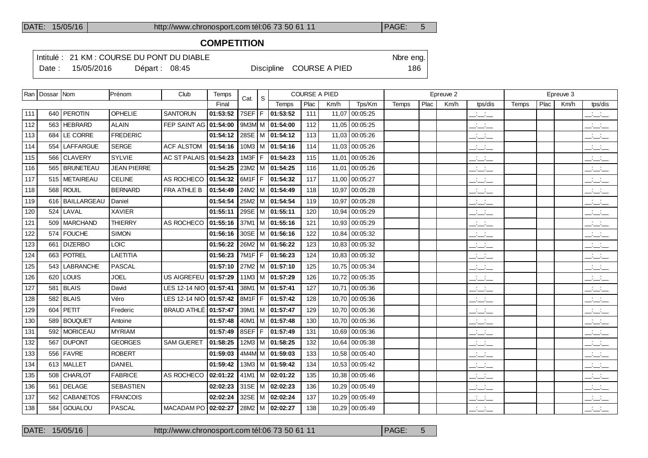## **COMPETITION**

Intitulé : 21 KM : COURSE DU PONT DU DIABLE Note that the state of the SN of the eng.

Date : 15/05/2016 Départ : 08:45 Discipline COURSE A PIED 186

|     | Ran   Dossar   Nom |                  | Prénom             | Club                        | Temps    | Cat.     | S |                       |      | <b>COURSE A PIED</b> |                |       |      | Epreuve 2 |                                   |       |      | Epreuve 3 |                                                   |
|-----|--------------------|------------------|--------------------|-----------------------------|----------|----------|---|-----------------------|------|----------------------|----------------|-------|------|-----------|-----------------------------------|-------|------|-----------|---------------------------------------------------|
|     |                    |                  |                    |                             | Final    |          |   | Temps                 | Plac | Km/h                 | Tps/Km         | Temps | Plac | Km/h      | tps/dis                           | Temps | Plac | Km/h      | tps/dis                                           |
| 111 |                    | 640   PEROTIN    | OPHELIE            | <b>SANTORUN</b>             | 01:53:52 | 7SEF F   |   | 01:53:52              | 111  |                      | 11,07 00:05:25 |       |      |           | $\overline{\phantom{a}}$          |       |      |           | للتنافث                                           |
| 112 | 563                | <b>HEBRARD</b>   | <b>ALAIN</b>       | <b>FEP SAINT AG</b>         | 01:54:00 |          |   | 9M3M M 01:54:00       | 112  | 11.05                | 00:05:25       |       |      |           | <b>Contractor</b><br>$  -$        |       |      |           | $\frac{1}{2}$                                     |
| 113 |                    | 684 LE CORRE     | <b>FREDERIC</b>    |                             | 01:54:12 |          |   | 28SE   M   01:54:12   | 113  |                      | 11,03 00:05:26 |       |      |           | $ -$                              |       |      |           | للأسائل                                           |
| 114 | 554                | <b>LAFFARGUE</b> | <b>SERGE</b>       | <b>ACF ALSTOM</b>           | 01:54:16 |          |   | $10M3$   M   01:54:16 | 114  | 11,03                | 00:05:26       |       |      |           | $ -$                              |       |      |           | $ -$                                              |
| 115 |                    | 566 CLAVERY      | SYLVIE             | AC ST PALAIS   01:54:23     |          | $1M3F$ F |   | 01:54:23              | 115  |                      | 11,01 00:05:26 |       |      |           | <b>Contract Contract</b><br>$  -$ |       |      |           | $ -$                                              |
| 116 |                    | 565   BRUNETEAU  | <b>JEAN PIERRE</b> |                             | 01:54:25 |          |   | $23M2$   M   01:54:25 | 116  | 11,01                | 00:05:26       |       |      |           | <b>Contractor</b><br>$  -$        |       |      |           | للتنافث                                           |
| 117 |                    | 515   METAIREAU  | <b>CELINE</b>      | AS ROCHECO                  | 01:54:32 | $6M1F$ F |   | 01:54:32              | 117  |                      | 11.00 00:05:27 |       |      |           | $\overline{\phantom{a}}$          |       |      |           | $\overline{\phantom{a}}$                          |
| 118 | 568                | <b>ROUIL</b>     | <b>BERNARD</b>     | FRA ATHLE B                 | 01:54:49 |          |   | 24M2   M   01:54:49   | 118  | 10,97                | 00:05:28       |       |      |           | $  -$                             |       |      |           | للأسائل                                           |
| 119 |                    | 616 BAILLARGEAU  | Daniel             |                             | 01:54:54 |          |   | 25M2   M   01:54:54   | 119  | 10,97                | 00:05:28       |       |      |           | $ -$                              |       |      |           | للأستخب                                           |
| 120 | 524                | LAVAL            | <b>XAVIER</b>      |                             | 01:55:11 |          |   | 29SE   M   01:55:11   | 120  | 10,94                | 00:05:29       |       |      |           | $\mathbb{Z}$ and $\mathbb{Z}$     |       |      |           | $  -$                                             |
| 121 |                    | 509   MARCHAND   | <b>THIERRY</b>     | AS ROCHECO                  | 01:55:16 |          |   | $37M1$   M   01:55:16 | 121  | 10,93                | 00:05:29       |       |      |           | $ -$                              |       |      |           | للأسائل                                           |
| 122 | 574                | <b>FOUCHE</b>    | <b>SIMON</b>       |                             | 01:56:16 |          |   | 30SE   M   01:56:16   | 122  | 10.84                | 00:05:32       |       |      |           | $\mathbb{Z}$ and $\mathbb{Z}$     |       |      |           | $\overline{\phantom{a}}$                          |
| 123 | 661                | <b>DIZERBO</b>   | <b>LOIC</b>        |                             | 01:56:22 |          |   | 26M2   M   01:56:22   | 123  |                      | 10.83 00:05:32 |       |      |           | $ -$                              |       |      |           | $\overline{\phantom{a}}$                          |
| 124 | 663                | <b>POTREL</b>    | <b>LAETITIA</b>    |                             | 01:56:23 | $7M1F$ F |   | 01:56:23              | 124  | 10,83                | 00:05:32       |       |      |           | $  -$                             |       |      |           | للأسائل                                           |
| 125 | 543                | LABRANCHE        | <b>PASCAL</b>      |                             | 01:57:10 |          |   | 27M2   M   01:57:10   | 125  |                      | 10,75 00:05:34 |       |      |           | سأسأب                             |       |      |           | للأسائل                                           |
| 126 | 620                | LOUIS            | <b>JOEL</b>        | US AIGREFEU                 | 01:57:29 |          |   | 11M3   M $ $ 01:57:29 | 126  | 10,72                | 00:05:35       |       |      |           | $\mathbb{Z}$ and $\mathbb{Z}$     |       |      |           | $\overline{\phantom{a}}$                          |
| 127 |                    | $581$ BLAIS      | David              | LES 12-14 NIO 01:57:41      |          |          |   | 38M1 M 01:57:41       | 127  |                      | 10.71 00:05:36 |       |      |           | $  -$                             |       |      |           | $\overline{\phantom{a}}$                          |
| 128 | 582                | <b>BLAIS</b>     | Véro               | LES 12-14 NIO 01:57:42      |          | $8M1F$ F |   | 01:57:42              | 128  | 10.70                | 00:05:36       |       |      |           | $ -$                              |       |      |           | $  -$                                             |
| 129 | 604                | <b>PETIT</b>     | Frederic           | <b>BRAUD ATHLÉ 01:57:47</b> |          |          |   | 39M1   M   01:57:47   | 129  |                      | 10,70 00:05:36 |       |      |           | للتحلف                            |       |      |           | $  -$                                             |
| 130 | 589                | <b>BOUQUET</b>   | Antoine            |                             | 01:57:48 |          |   | $40M1$   M   01:57:48 | 130  | 10,70                | 00:05:36       |       |      |           | $ -$                              |       |      |           | $\mathbb{R}$ and $\mathbb{R}$                     |
| 131 |                    | 592   MORICEAU   | <b>MYRIAM</b>      |                             | 01:57:49 | 8SEF   F |   | 01:57:49              | 131  | 10,69                | 00:05:36       |       |      |           | $  -$                             |       |      |           | $\overline{\phantom{a}}$                          |
| 132 | 567                | <b>DUPONT</b>    | <b>GEORGES</b>     | <b>SAM GUERET</b>           | 01:58:25 |          |   | $12M3$ M $101:58:25$  | 132  | 10.64                | 00:05:38       |       |      |           | $\mathbb{Z}$ and $\mathbb{Z}$     |       |      |           | $\overline{\phantom{a}}$                          |
| 133 |                    | 556 FAVRE        | <b>ROBERT</b>      |                             | 01:59:03 |          |   | 4M4M M 01:59:03       | 133  |                      | 10.58 00:05:40 |       |      |           | $ -$                              |       |      |           | $\mathbb{R}$ and $\mathbb{R}$                     |
| 134 |                    | 613 MALLET       | <b>DANIEL</b>      |                             | 01:59:42 |          |   | $13M3$ M $ 01:59:42$  | 134  |                      | 10.53 00:05:42 |       |      |           | $  -$                             |       |      |           | $\frac{1}{2}$ and $\frac{1}{2}$                   |
| 135 |                    | 508 CHARLOT      | <b>FABRICE</b>     | AS ROCHECO                  | 02:01:22 |          |   | 41M1   M   02:01:22   | 135  | 10,38                | 00:05:46       |       |      |           | $\frac{1}{2}$ and $\frac{1}{2}$   |       |      |           | $\overline{\phantom{a}}$                          |
| 136 | 561                | <b>DELAGE</b>    | SEBASTIEN          |                             | 02:02:23 | $31SE$ M |   | 02:02:23              | 136  | 10,29                | 00:05:49       |       |      |           | $  -$                             |       |      |           | $\overline{\phantom{a}}$ $\overline{\phantom{a}}$ |
| 137 | 562                | <b>CABANETOS</b> | <b>FRANCOIS</b>    |                             | 02:02:24 |          |   | 32SE M 02:02:24       | 137  |                      | 10,29 00:05:49 |       |      |           | $  -$                             |       |      |           | $\mathbb{R}$ and $\mathbb{R}$                     |
| 138 | 584                | GOUALOU          | <b>PASCAL</b>      | <b>MACADAM PO</b>           | 02:02:27 |          |   | 28M2 M 02:02:27       | 138  |                      | 10,29 00:05:49 |       |      |           | $\frac{1}{2}$ and $\frac{1}{2}$   |       |      |           | $ -$                                              |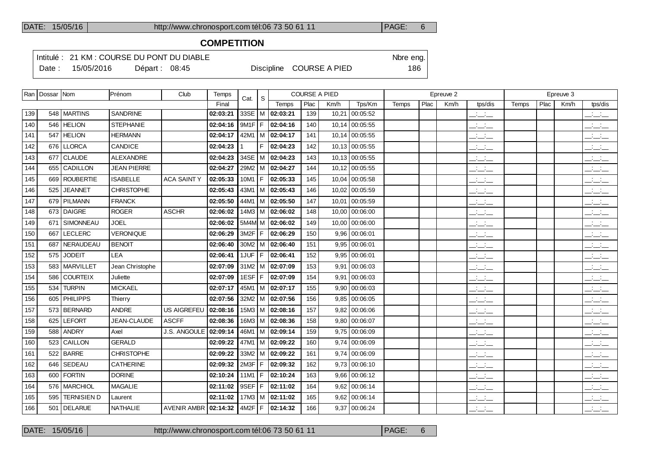## **COMPETITION**

Intitulé : 21 KM : COURSE DU PONT DU DIABLE Note that the state of the SN of the eng.

Date : 15/05/2016 Départ : 08:45 Discipline COURSE A PIED 186

|     | Ran   Dossar   Nom |                    | Prénom             | Club                   | Temps    | Cat.          | S              |                       |      | <b>COURSE A PIED</b> |                 |       |      | Epreuve 2 |                                   |       |      | Epreuve 3 |                                                                                                                                                                                                                                                                                                                     |
|-----|--------------------|--------------------|--------------------|------------------------|----------|---------------|----------------|-----------------------|------|----------------------|-----------------|-------|------|-----------|-----------------------------------|-------|------|-----------|---------------------------------------------------------------------------------------------------------------------------------------------------------------------------------------------------------------------------------------------------------------------------------------------------------------------|
|     |                    |                    |                    |                        | Final    |               |                | Temps                 | Plac | Km/h                 | Tps/Km          | Temps | Plac | Km/h      | tps/dis                           | Temps | Plac | Km/h      | tps/dis                                                                                                                                                                                                                                                                                                             |
| 139 |                    | 548 MARTINS        | <b>SANDRINE</b>    |                        | 02:03:21 |               |                | 33SE   M   02:03:21   | 139  |                      | 10,21 00:05:52  |       |      |           | للأسائب                           |       |      |           | $\frac{1}{2}$                                                                                                                                                                                                                                                                                                       |
| 140 |                    | 546 HELION         | <b>STEPHANIE</b>   |                        | 02:04:16 | 9M1F F        |                | 02:04:16              | 140  |                      | 10,14 00:05:55  |       |      |           | $\frac{1}{2}$ and $\frac{1}{2}$   |       |      |           | $\frac{1}{2}$                                                                                                                                                                                                                                                                                                       |
| 141 |                    | 547 HELION         | <b>HERMANN</b>     |                        | 02:04:17 |               |                | 42M1   M $ $ 02:04:17 | 141  |                      | 10,14 00:05:55  |       |      |           | $ -$                              |       |      |           | بالسائد                                                                                                                                                                                                                                                                                                             |
| 142 |                    | 676   LLORCA       | <b>CANDICE</b>     |                        | 02:04:23 |               | F.             | 02:04:23              | 142  |                      | 10,13 00:05:55  |       |      |           | $ -$                              |       |      |           | $\frac{1}{2}$ and $\frac{1}{2}$                                                                                                                                                                                                                                                                                     |
| 143 |                    | 677 CLAUDE         | ALEXANDRE          |                        | 02:04:23 |               |                | 34SE   M   02:04:23   | 143  |                      | 10.13 00:05:55  |       |      |           | $\sim 100$<br>$  -$               |       |      |           | $\frac{1}{2}$ and $\frac{1}{2}$                                                                                                                                                                                                                                                                                     |
| 144 |                    | 655 CADILLON       | <b>JEAN PIERRE</b> |                        | 02:04:27 |               |                | 29M2   M   02:04:27   | 144  |                      | 10,12 00:05:55  |       |      |           | $ -$                              |       |      |           | للأسائد                                                                                                                                                                                                                                                                                                             |
| 145 |                    | 669 ROUBERTIE      | <b>ISABELLE</b>    | <b>ACA SAINTY</b>      | 02:05:33 | $10M1 \mid F$ |                | 02:05:33              | 145  |                      | 10,04 00:05:58  |       |      |           | <b>Contract</b><br>$  -$          |       |      |           | <b>Contract</b><br>$  -$                                                                                                                                                                                                                                                                                            |
| 146 | 525                | <b>JEANNET</b>     | <b>CHRISTOPHE</b>  |                        | 02:05:43 |               |                | 43M1   M $ $ 02:05:43 | 146  |                      | 10,02 00:05:59  |       |      |           | $\overline{\phantom{a}}$          |       |      |           | $\frac{1}{2}$                                                                                                                                                                                                                                                                                                       |
| 147 |                    | 679   PILMANN      | <b>FRANCK</b>      |                        | 02:05:50 |               |                | 44M1   M   02:05:50   | 147  |                      | 10,01 00:05:59  |       |      |           | <b>Contract Contract</b><br>$  -$ |       |      |           | $\overline{\phantom{a}}$                                                                                                                                                                                                                                                                                            |
| 148 |                    | 673 DAIGRE         | <b>ROGER</b>       | <b>ASCHR</b>           | 02:06:02 |               |                | $14M3$   M   02:06:02 | 148  |                      | 10,00 00:06:00  |       |      |           | <b>Contract</b><br>$  -$          |       |      |           | $\overline{\phantom{a}}$                                                                                                                                                                                                                                                                                            |
| 149 |                    | 671 SIMONNEAU      | <b>JOEL</b>        |                        | 02:06:02 |               |                | $5M4M$ M   02:06:02   | 149  |                      | 10,00 00:06:00  |       |      |           | $  -$                             |       |      |           | $\frac{1}{2}$ $\frac{1}{2}$ $\frac{1}{2}$ $\frac{1}{2}$ $\frac{1}{2}$ $\frac{1}{2}$ $\frac{1}{2}$ $\frac{1}{2}$ $\frac{1}{2}$ $\frac{1}{2}$ $\frac{1}{2}$ $\frac{1}{2}$ $\frac{1}{2}$ $\frac{1}{2}$ $\frac{1}{2}$ $\frac{1}{2}$ $\frac{1}{2}$ $\frac{1}{2}$ $\frac{1}{2}$ $\frac{1}{2}$ $\frac{1}{2}$ $\frac{1}{2}$ |
| 150 | 667                | <b>LECLERC</b>     | <b>VERONIQUE</b>   |                        | 02:06:29 | $3M2F$ F      |                | 02:06:29              | 150  | 9.96                 | 00:06:01        |       |      |           | $ -$                              |       |      |           | $\overline{\phantom{a}}$                                                                                                                                                                                                                                                                                            |
| 151 | 687                | NERAUDEAU          | <b>BENOIT</b>      |                        | 02:06:40 |               |                | $30M2$   M   02:06:40 | 151  |                      | 9,95 00:06:01   |       |      |           | $\mathbb{Z}$ and $\mathbb{Z}$     |       |      |           | $\frac{1}{2}$                                                                                                                                                                                                                                                                                                       |
| 152 |                    | 575 JODEIT         | <b>LEA</b>         |                        | 02:06:41 | 1JUF          | $\mathsf{F}^-$ | 02:06:41              | 152  | 9.95                 | 00:06:01        |       |      |           | $\frac{1}{2}$ and $\frac{1}{2}$   |       |      |           | $\frac{1}{2}$                                                                                                                                                                                                                                                                                                       |
| 153 |                    | 583   MARVILLET    | Jean Christophe    |                        | 02:07:09 |               |                | $31M2$ M $ $ 02:07:09 | 153  | 9.91                 | 00:06:03        |       |      |           | $\frac{1}{2}$ and $\frac{1}{2}$   |       |      |           | $\frac{1}{2}$                                                                                                                                                                                                                                                                                                       |
| 154 |                    | 586 COURTEIX       | Juliette           |                        | 02:07:09 | 1ESF F        |                | 02:07:09              | 154  | 9.91                 | 00:06:03        |       |      |           | $  -$                             |       |      |           | $\frac{1}{2}$                                                                                                                                                                                                                                                                                                       |
| 155 |                    | 534 TURPIN         | <b>MICKAEL</b>     |                        | 02:07:17 |               |                | 45M1   M   02:07:17   | 155  |                      | $9,90$ 00:06:03 |       |      |           | $\frac{1}{2}$                     |       |      |           | $\frac{1}{2}$                                                                                                                                                                                                                                                                                                       |
| 156 |                    | 605   PHILIPPS     | Thierry            |                        | 02:07:56 |               |                | $32M2$   M   02:07:56 | 156  |                      | $9,85$ 00:06:05 |       |      |           | $  -$                             |       |      |           | $\frac{1}{2}$                                                                                                                                                                                                                                                                                                       |
| 157 |                    | 573 BERNARD        | <b>ANDRE</b>       | US AIGREFEU            | 02:08:16 |               |                | $15M3$ M $ 02:08:16$  | 157  |                      | $9,82$ 00:06:06 |       |      |           | $ -$                              |       |      |           | $\frac{1}{2}$ $\frac{1}{2}$ $\frac{1}{2}$                                                                                                                                                                                                                                                                           |
| 158 |                    | 625 LEFORT         | JEAN-CLAUDE        | <b>ASCFF</b>           | 02:08:36 |               |                | 16M3   M   02:08:36   | 158  |                      | 9,80 00:06:07   |       |      |           | <b>Contractor</b><br>$  -$        |       |      |           | $\mathbb{R}$ and $\mathbb{R}$                                                                                                                                                                                                                                                                                       |
| 159 |                    | 588 ANDRY          | Axel               | J.S. ANGOULE           | 02:09:14 |               |                | 46M1   M   02:09:14   | 159  |                      | 9,75 00:06:09   |       |      |           | <b>Contract</b><br>$  -$          |       |      |           | $\mathcal{A}^{\mathcal{A}}$ and $\mathcal{A}^{\mathcal{A}}$<br>---                                                                                                                                                                                                                                                  |
| 160 |                    | 523 CAILLON        | <b>GERALD</b>      |                        | 02:09:22 |               |                | 47M1   M   02:09:22   | 160  |                      | 9,74 00:06:09   |       |      |           | للأساس                            |       |      |           | $\overline{\phantom{a}}$                                                                                                                                                                                                                                                                                            |
| 161 |                    | $522$ BARRE        | <b>CHRISTOPHE</b>  |                        | 02:09:22 |               |                | $33M2$   M   02:09:22 | 161  |                      | $9,74$ 00:06:09 |       |      |           | للأساس                            |       |      |           | $\overline{\phantom{a}}$                                                                                                                                                                                                                                                                                            |
| 162 | 646                | SEDEAU             | <b>CATHERINE</b>   |                        | 02:09:32 | 2M3F   F      |                | 02:09:32              | 162  |                      | $9,73$ 00:06:10 |       |      |           | للأساس                            |       |      |           | $\overline{\phantom{a}}$                                                                                                                                                                                                                                                                                            |
| 163 |                    | 600 FORTIN         | <b>DORINE</b>      |                        | 02:10:24 | $11M1$   F    |                | 02:10:24              | 163  |                      | 9,66 00:06:12   |       |      |           | $\frac{1}{2}$ and $\frac{1}{2}$   |       |      |           | $\overline{\phantom{a}}$                                                                                                                                                                                                                                                                                            |
| 164 |                    | 576   MARCHIOL     | <b>MAGALIE</b>     |                        | 02:11:02 |               |                | 9SEF   F   02:11:02   | 164  |                      | $9,62$ 00:06:14 |       |      |           | $ -$                              |       |      |           | $ -$                                                                                                                                                                                                                                                                                                                |
| 165 | 595                | <b>TERNISIEN D</b> | Laurent            |                        | 02:11:02 |               |                | $17M3$   M   02:11:02 | 165  |                      | 9,62 00:06:14   |       |      |           | $\frac{1}{2}$ and $\frac{1}{2}$   |       |      |           | للمستنبذ                                                                                                                                                                                                                                                                                                            |
| 166 |                    | 501   DELARUE      | NATHALIE           | AVENIR AMBR   02:14:32 |          |               |                | $4M2F$ F   02:14:32   | 166  |                      | 9,37 00:06:24   |       |      |           | $  -$                             |       |      |           | $ -$                                                                                                                                                                                                                                                                                                                |